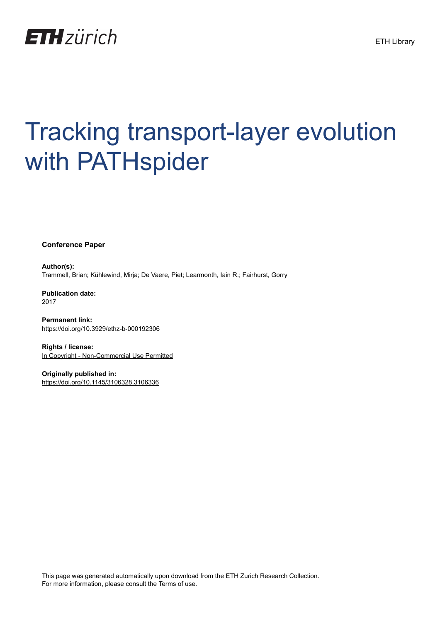

# Tracking transport-layer evolution with PATHspider

**Conference Paper**

**Author(s):** Trammell, Brian; Kühlewind, Mirja; De Vaere, Piet; Learmonth, Iain R.; Fairhurst, Gorry

**Publication date:** 2017

**Permanent link:** <https://doi.org/10.3929/ethz-b-000192306>

**Rights / license:** [In Copyright - Non-Commercial Use Permitted](http://rightsstatements.org/page/InC-NC/1.0/)

**Originally published in:** <https://doi.org/10.1145/3106328.3106336>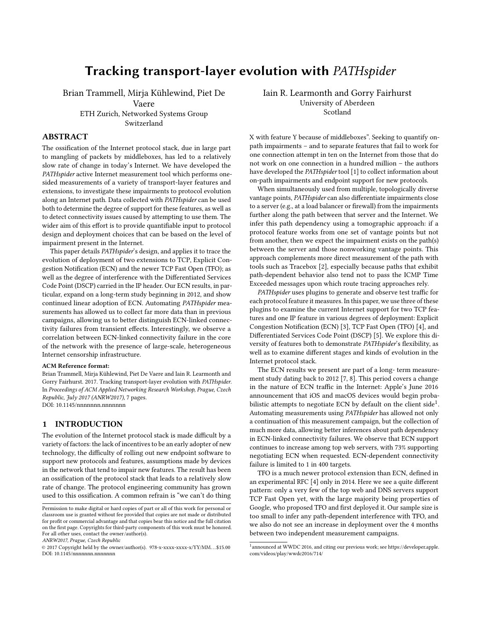## Tracking transport-layer evolution with PATHspider

Brian Trammell, Mirja Kühlewind, Piet De Vaere ETH Zurich, Networked Systems Group Switzerland

#### ABSTRACT

The ossification of the Internet protocol stack, due in large part to mangling of packets by middleboxes, has led to a relatively slow rate of change in today's Internet. We have developed the PATHspider active Internet measurement tool which performs onesided measurements of a variety of transport-layer features and extensions, to investigate these impairments to protocol evolution along an Internet path. Data collected with PATHspider can be used both to determine the degree of support for these features, as well as to detect connectivity issues caused by attempting to use them. The wider aim of this effort is to provide quantifiable input to protocol design and deployment choices that can be based on the level of impairment present in the Internet.

This paper details PATHspider's design, and applies it to trace the evolution of deployment of two extensions to TCP, Explicit Congestion Notification (ECN) and the newer TCP Fast Open (TFO); as well as the degree of interference with the Differentiated Services Code Point (DSCP) carried in the IP header. Our ECN results, in particular, expand on a long-term study beginning in 2012, and show continued linear adoption of ECN. Automating PATHspider measurements has allowed us to collect far more data than in previous campaigns, allowing us to better distinguish ECN-linked connectivity failures from transient effects. Interestingly, we observe a correlation between ECN-linked connectivity failure in the core of the network with the presence of large-scale, heterogeneous Internet censorship infrastructure.

#### ACM Reference format:

Brian Trammell, Mirja Kühlewind, Piet De Vaere and Iain R. Learmonth and Gorry Fairhurst. 2017. Tracking transport-layer evolution with PATHspider. In Proceedings of ACM Applied Networking Research Workshop, Prague, Czech Republic, July 2017 (ANRW2017), [7](#page-7-0) pages. DOI: 10.1145/nnnnnnn.nnnnnnn

#### 1 INTRODUCTION

The evolution of the Internet protocol stack is made difficult by a variety of factors: the lack of incentives to be an early adopter of new technology, the difficulty of rolling out new endpoint software to support new protocols and features, assumptions made by devices in the network that tend to impair new features. The result has been an ossification of the protocol stack that leads to a relatively slow rate of change. The protocol engineering community has grown used to this ossification. A common refrain is "we can't do thing

ANRW2017, Prague, Czech Republic

Iain R. Learmonth and Gorry Fairhurst University of Aberdeen Scotland

X with feature Y because of middleboxes". Seeking to quantify onpath impairments – and to separate features that fail to work for one connection attempt in ten on the Internet from those that do not work on one connection in a hundred million – the authors have developed the PATHspider tool [\[1\]](#page-7-1) to collect information about on-path impairments and endpoint support for new protocols.

When simultaneously used from multiple, topologically diverse vantage points, PATHspider can also differentiate impairments close to a server (e.g., at a load balancer or firewall) from the impairments further along the path between that server and the Internet. We infer this path dependency using a tomographic approach: if a protocol feature works from one set of vantage points but not from another, then we expect the impairment exists on the path(s) between the server and those nonworking vantage points. This approach complements more direct measurement of the path with tools such as Tracebox [\[2\]](#page-7-2), especially because paths that exhibit path-dependent behavior also tend not to pass the ICMP Time Exceeded messages upon which route tracing approaches rely.

PATHspider uses plugins to generate and observe test traffic for each protocol feature it measures. In this paper, we use three of these plugins to examine the current Internet support for two TCP features and one IP feature in various degrees of deployment: Explicit Congestion Notification (ECN) [\[3\]](#page-7-3), TCP Fast Open (TFO) [\[4\]](#page-7-4), and Differentiated Services Code Point (DSCP) [\[5\]](#page-7-5). We explore this diversity of features both to demonstrate PATHspider's flexibility, as well as to examine different stages and kinds of evolution in the Internet protocol stack.

The ECN results we present are part of a long- term measurement study dating back to 2012 [\[7,](#page-7-6) [8\]](#page-7-7). This period covers a change in the nature of ECN traffic in the Internet: Apple's June 2016 announcement that iOS and macOS devices would begin proba-bilistic attempts to negotiate ECN by default on the client side<sup>[1](#page-1-0)</sup>. Automating measurements using PATHspider has allowed not only a continuation of this measurement campaign, but the collection of much more data, allowing better inferences about path dependency in ECN-linked connectivity failures. We observe that ECN support continues to increase among top web servers, with 73% supporting negotiating ECN when requested. ECN-dependent connectivity failure is limited to 1 in 400 targets.

TFO is a much newer protocol extension than ECN, defined in an experimental RFC [\[4\]](#page-7-4) only in 2014. Here we see a quite different pattern: only a very few of the top web and DNS servers support TCP Fast Open yet, with the large majority being properties of Google, who proposed TFO and first deployed it. Our sample size is too small to infer any path-dependent interference with TFO, and we also do not see an increase in deployment over the 4 months between two independent measurement campaigns.

Permission to make digital or hard copies of part or all of this work for personal or classroom use is granted without fee provided that copies are not made or distributed for profit or commercial advantage and that copies bear this notice and the full citation on the first page. Copyrights for third-party components of this work must be honored. For all other uses, contact the owner/author(s).

<sup>©</sup> 2017 Copyright held by the owner/author(s). 978-x-xxxx-xxxx-x/YY/MM. . . \$15.00 DOI: 10.1145/nnnnnnn.nnnnnnn

<span id="page-1-0"></span><sup>&</sup>lt;sup>1</sup> announced at WWDC 2016, and citing our previous work; see [https://developer.apple.](https://developer.apple.com/videos/play/wwdc2016/714/) [com/videos/play/wwdc2016/714/](https://developer.apple.com/videos/play/wwdc2016/714/)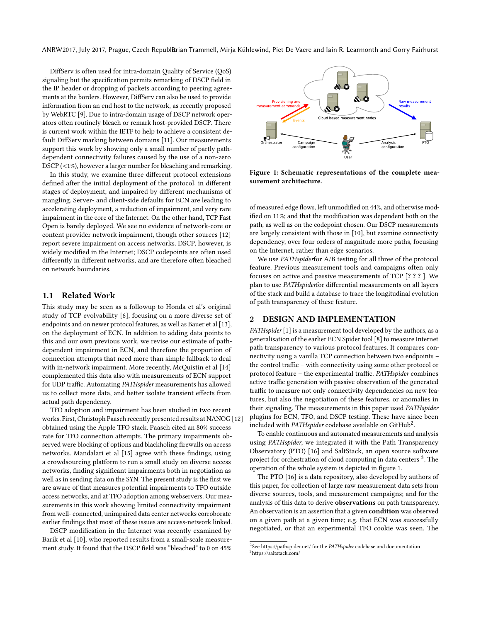ANRW2017, July 2017, Prague, Czech RepublBrian Trammell, Mirja Kühlewind, Piet De Vaere and Iain R. Learmonth and Gorry Fairhurst

DiffServ is often used for intra-domain Quality of Service (QoS) signaling but the specification permits remarking of DSCP field in the IP header or dropping of packets according to peering agreements at the borders. However, DiffServ can also be used to provide information from an end host to the network, as recently proposed by WebRTC [\[9\]](#page-7-8). Due to intra-domain usage of DSCP network operators often routinely bleach or remark host-provided DSCP. There is current work within the IETF to help to achieve a consistent default DiffServ marking between domains [\[11\]](#page-7-9). Our measurements support this work by showing only a small number of partly pathdependent connectivity failures caused by the use of a non-zero DSCP (<1%), however a larger number for bleaching and remarking.

In this study, we examine three different protocol extensions defined after the initial deployment of the protocol, in different stages of deployment, and impaired by different mechanisms of mangling. Server- and client-side defaults for ECN are leading to accelerating deployment, a reduction of impairment, and very rare impairment in the core of the Internet. On the other hand, TCP Fast Open is barely deployed. We see no evidence of network-core or content provider network impairment, though other sources [\[12\]](#page-7-10) report severe impairment on access networks. DSCP, however, is widely modified in the Internet; DSCP codepoints are often used differently in different networks, and are therefore often bleached on network boundaries.

#### 1.1 Related Work

This study may be seen as a followup to Honda et al's original study of TCP evolvability [\[6\]](#page-7-11), focusing on a more diverse set of endpoints and on newer protocol features, as well as Bauer et al [\[13\]](#page-7-12), on the deployment of ECN. In addition to adding data points to this and our own previous work, we revise our estimate of pathdependent impairment in ECN, and therefore the proportion of connection attempts that need more than simple fallback to deal with in-network impairment. More recently, McQuistin et al [\[14\]](#page-7-13) complemented this data also with measurements of ECN support for UDP traffic. Automating PATHspider measurements has allowed us to collect more data, and better isolate transient effects from actual path dependency.

TFO adoption and impairment has been studied in two recent works. First, Christoph Paasch recently presented results at NANOG [\[12\]](#page-7-10) obtained using the Apple TFO stack. Paasch cited an 80% success rate for TFO connection attempts. The primary impairments observed were blocking of options and blackholing firewalls on access networks. Mandalari et al [\[15\]](#page-7-14) agree with these findings, using a crowdsourcing platform to run a small study on diverse access networks, finding significant impairments both in negotiation as well as in sending data on the SYN. The present study is the first we are aware of that measures potential impairments to TFO outside access networks, and at TFO adoption among webservers. Our measurements in this work showing limited connectivity impairment from well- connected, unimpaired data center networks corroborate earlier findings that most of these issues are access-network linked.

DSCP modification in the Internet was recently examined by Barik et al [\[10\]](#page-7-15), who reported results from a small-scale measurement study. It found that the DSCP field was "bleached" to 0 on 45%

<span id="page-2-2"></span>

Figure 1: Schematic representations of the complete measurement architecture.

of measured edge flows, left unmodified on 44%, and otherwise modified on 11%; and that the modification was dependent both on the path, as well as on the codepoint chosen. Our DSCP measurements are largely consistent with those in [\[10\]](#page-7-15), but examine connectivity dependency, over four orders of magnitude more paths, focusing on the Internet, rather than edge scenarios.

We use PATHspiderfor A/B testing for all three of the protocol feature. Previous measurement tools and campaigns often only focuses on active and passive measurements of TCP [? ? ? ]. We plan to use PATHspiderfor differential measurements on all layers of the stack and build a database to trace the longitudinal evolution of path transparency of these feature.

### 2 DESIGN AND IMPLEMENTATION

PATHspider [\[1\]](#page-7-1) is a measurement tool developed by the authors, as a generalisation of the earlier ECN Spider tool [\[8\]](#page-7-7) to measure Internet path transparency to various protocol features. It compares connectivity using a vanilla TCP connection between two endpoints – the control traffic – with connectivity using some other protocol or protocol feature – the experimental traffic. PATHspider combines active traffic generation with passive observation of the generated traffic to measure not only connectivity dependencies on new features, but also the negotiation of these features, or anomalies in their signaling. The measurements in this paper used PATHspider plugins for ECN, TFO, and DSCP testing. These have since been included with PATHspider codebase available on GitHub<sup>[2](#page-2-0)</sup>.

To enable continuous and automated measurements and analysis using PATHspider, we integrated it with the Path Transparency Observatory (PTO) [\[16\]](#page-7-16) and SaltStack, an open source software project for orchestration of cloud computing in data centers <sup>[3](#page-2-1)</sup>. The operation of the whole system is depicted in figure [1.](#page-2-2)

The PTO [\[16\]](#page-7-16) is a data repository, also developed by authors of this paper, for collection of large raw measurement data sets from diverse sources, tools, and measurement campaigns; and for the analysis of this data to derive observations on path transparency. An observation is an assertion that a given condition was observed on a given path at a given time; e.g. that ECN was successfully negotiated, or that an experimental TFO cookie was seen. The

<span id="page-2-1"></span><span id="page-2-0"></span> $2$ See<https://pathspider.net/> for the PATHspider codebase and documentation <sup>3</sup>https://saltstack.com/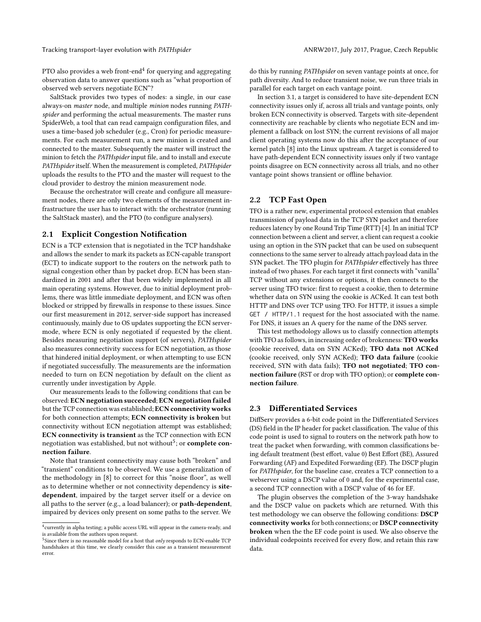Tracking transport-layer evolution with PATHspider ANRW2017, July 2017, Prague, Czech Republic

PTO also provides a web front-end $^4$  $^4$  for querying and aggregating observation data to answer questions such as "what proportion of observed web servers negotiate ECN"?

SaltStack provides two types of nodes: a single, in our case always-on master node, and multiple minion nodes running PATHspider and performing the actual measurements. The master runs SpiderWeb, a tool that can read campaign configuration files, and uses a time-based job scheduler (e.g., Cron) for periodic measurements. For each measurement run, a new minion is created and connected to the master. Subsequently the master will instruct the minion to fetch the PATHspider input file, and to install and execute PATHspider itself. When the measurement is completed, PATHspider uploads the results to the PTO and the master will request to the cloud provider to destroy the minion measurement node.

Because the orchestrator will create and configure all measurement nodes, there are only two elements of the measurement infrastructure the user has to interact with: the orchestrator (running the SaltStack master), and the PTO (to configure analysers).

#### <span id="page-3-2"></span>2.1 Explicit Congestion Notification

ECN is a TCP extension that is negotiated in the TCP handshake and allows the sender to mark its packets as ECN-capable transport (ECT) to indicate support to the routers on the network path to signal congestion other than by packet drop. ECN has been standardized in 2001 and after that been widely implemented in all main operating systems. However, due to initial deployment problems, there was little immediate deployment, and ECN was often blocked or stripped by firewalls in response to these issues. Since our first measurement in 2012, server-side support has increased continuously, mainly due to OS updates supporting the ECN servermode, where ECN is only negotiated if requested by the client. Besides measuring negotiation support (of servers), PATHspider also measures connectivity success for ECN negotiation, as those that hindered initial deployment, or when attempting to use ECN if negotiated successfully. The measurements are the information needed to turn on ECN negotiation by default on the client as currently under investigation by Apple.

Our measurements leads to the following conditions that can be observed: ECN negotiation succeeded; ECN negotiation failed but the TCP connection was established; ECN connectivity works for both connection attempts; ECN connectivity is broken but connectivity without ECN negotiation attempt was established; ECN connectivity is transient as the TCP connection with ECN negotiation was established, but not without $^5$  $^5$ ; or  $\boldsymbol{\text{complete}}$   $\boldsymbol{\text{con}}$ nection failure.

Note that transient connectivity may cause both "broken" and "transient" conditions to be observed. We use a generalization of the methodology in [\[8\]](#page-7-7) to correct for this "noise floor", as well as to determine whether or not connectivity dependency is sitedependent, impaired by the target server itself or a device on all paths to the server (e.g., a load balancer); or path-dependent, impaired by devices only present on some paths to the server. We

do this by running PATHspider on seven vantage points at once, for path diversity. And to reduce transient noise, we run three trials in parallel for each target on each vantage point.

In section [3.1,](#page-4-0) a target is considered to have site-dependent ECN connectivity issues only if, across all trials and vantage points, only broken ECN connectivity is observed. Targets with site-dependent connectivity are reachable by clients who negotiate ECN and implement a fallback on lost SYN; the current revisions of all major client operating systems now do this after the acceptance of our kernel patch [\[8\]](#page-7-7) into the Linux upstream. A target is considered to have path-dependent ECN connectivity issues only if two vantage points disagree on ECN connectivity across all trials, and no other vantage point shows transient or offline behavior.

#### 2.2 TCP Fast Open

TFO is a rather new, experimental protocol extension that enables transmission of payload data in the TCP SYN packet and therefore reduces latency by one Round Trip Time (RTT) [\[4\]](#page-7-4). In an initial TCP connection between a client and server, a client can request a cookie using an option in the SYN packet that can be used on subsequent connections to the same server to already attach payload data in the SYN packet. The TFO plugin for PATHspider effectively has three instead of two phases. For each target it first connects with "vanilla" TCP without any extensions or options, it then connects to the server using TFO twice: first to request a cookie, then to determine whether data on SYN using the cookie is ACKed. It can test both HTTP and DNS over TCP using TFO. For HTTP, it issues a simple GET / HTTP/1.1 request for the host associated with the name. For DNS, it issues an A query for the name of the DNS server.

This test methodology allows us to classify connection attempts with TFO as follows, in increasing order of brokenness: TFO works (cookie received, data on SYN ACKed); TFO data not ACKed (cookie received, only SYN ACKed); TFO data failure (cookie received, SYN with data fails); TFO not negotiated; TFO connection failure (RST or drop with TFO option); or complete connection failure.

#### 2.3 Differentiated Services

DiffServ provides a 6-bit code point in the Differentiated Services (DS) field in the IP header for packet classification. The value of this code point is used to signal to routers on the network path how to treat the packet when forwarding, with common classifications being default treatment (best effort, value 0) Best Effort (BE), Assured Forwarding (AF) and Expedited Forwarding (EF). The DSCP plugin for PATHspider, for the baseline case, creates a TCP connection to a webserver using a DSCP value of 0 and, for the experimental case, a second TCP connection with a DSCP value of 46 for EF.

The plugin observes the completion of the 3-way handshake and the DSCP value on packets which are returned. With this test methodology we can observe the following conditions: DSCP connectivity works for both connections; or DSCP connectivity broken when the the EF code point is used. We also observe the individual codepoints received for every flow, and retain this raw data.

<span id="page-3-0"></span> $^4$ currently in alpha testing; a public access URL will appear in the camera-ready, and is available from the authors upon request.

<span id="page-3-1"></span><sup>&</sup>lt;sup>5</sup>Since there is no reasonable model for a host that only responds to ECN-enable TCP handshakes at this time, we clearly consider this case as a transient measurement error.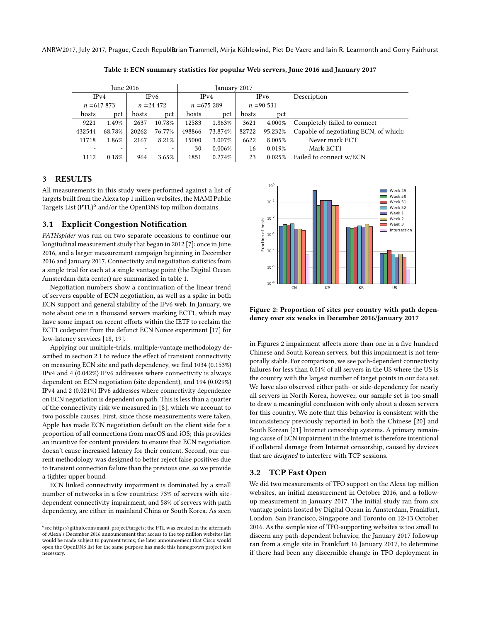<span id="page-4-2"></span>ANRW2017, July 2017, Prague, Czech RepublBrian Trammell, Mirja Kühlewind, Piet De Vaere and Iain R. Learmonth and Gorry Fairhurst

June 2016 January 2017 IPv4 IPv6 IPv4 IPv6 Description  $n = 617 873$   $n = 24 472$   $n = 675 289$   $n = 90 531$ hosts pct hosts pct hosts pct hosts pct 9221 1.49% 2637 10.78% 12583 1.863% 3621 4.000% Completely failed to connect 432544 68.78% 20262 76.77% 498866 73.874% 82722 95.232% Capable of negotiating ECN, of which: 11718 1.86% 2167 8.21% 15000 3.007% 6622 8.005% Never mark ECT - - - - - - 30 0.006% 16 0.019% Mark ECT1 1112 0.18% 964 3.65% 1851 0.274% 23 0.025% Failed to connect w/ECN

Table 1: ECN summary statistics for popular Web servers, June 2016 and January 2017

#### 3 RESULTS

All measurements in this study were performed against a list of targets built from the Alexa top 1 million websites, the MAMI Public Targets List (PTL)<sup>[6](#page-4-1)</sup> and/or the OpenDNS top million domains.

#### <span id="page-4-0"></span>3.1 Explicit Congestion Notification

PATHspider was run on two separate occasions to continue our longitudinal measurement study that began in 2012 [\[7\]](#page-7-6): once in June 2016, and a larger measurement campaign beginning in December 2016 and January 2017. Connectivity and negotiation statistics from a single trial for each at a single vantage point (the Digital Ocean Amsterdam data center) are summarized in table [1.](#page-4-2)

Negotiation numbers show a continuation of the linear trend of servers capable of ECN negotiation, as well as a spike in both ECN support and general stability of the IPv6 web. In January, we note about one in a thousand servers marking ECT1, which may have some impact on recent efforts within the IETF to reclaim the ECT1 codepoint from the defunct ECN Nonce experiment [\[17\]](#page-7-17) for low-latency services [\[18,](#page-7-18) [19\]](#page-7-19).

Applying our multiple-trials, multiple-vantage methodology described in section [2.1](#page-3-2) to reduce the effect of transient connectivity on measuring ECN site and path dependency, we find 1034 (0.153%) IPv4 and 4 (0.042%) IPv6 addresses where connectivity is always dependent on ECN negotiation (site dependent), and 194 (0.029%) IPv4 and 2 (0.021%) IPv6 addresses where connectivity dependence on ECN negotiation is dependent on path. This is less than a quarter of the connectivity risk we measured in [\[8\]](#page-7-7), which we account to two possible causes. First, since those measurements were taken, Apple has made ECN negotiation default on the client side for a proportion of all connections from macOS and iOS; this provides an incentive for content providers to ensure that ECN negotiation doesn't cause increased latency for their content. Second, our current methodology was designed to better reject false positives due to transient connection failure than the previous one, so we provide a tighter upper bound.

ECN linked connectivity impairment is dominated by a small number of networks in a few countries: 73% of servers with sitedependent connectivity impairment, and 58% of servers with path dependency, are either in mainland China or South Korea. As seen

<span id="page-4-3"></span>

Figure 2: Proportion of sites per country with path dependency over six weeks in December 2016/January 2017

in Figures [2](#page-4-3) impairment affects more than one in a five hundred Chinese and South Korean servers, but this impairment is not temporally stable. For comparison, we see path-dependent connectivity failures for less than 0.01% of all servers in the US where the US is the country with the largest number of target points in our data set. We have also observed either path- or side-dependency for nearly all servers in North Korea, however, our sample set is too small to draw a meaningful conclusion with only about a dozen servers for this country. We note that this behavior is consistent with the inconsistency previously reported in both the Chinese [\[20\]](#page-7-20) and South Korean [\[21\]](#page-7-21) Internet censorship systems. A primary remaining cause of ECN impairment in the Internet is therefore intentional if collateral damage from Internet censorship, caused by devices that are designed to interfere with TCP sessions.

#### 3.2 TCP Fast Open

We did two measurements of TFO support on the Alexa top million websites, an initial measurement in October 2016, and a followup measurement in January 2017. The initial study ran from six vantage points hosted by Digital Ocean in Amsterdam, Frankfurt, London, San Francisco, Singapore and Toronto on 12-13 October 2016. As the sample size of TFO-supporting websites is too small to discern any path-dependent behavior, the January 2017 followup ran from a single site in Frankfurt 16 January 2017, to determine if there had been any discernible change in TFO deployment in

<span id="page-4-1"></span> $^6$ see [https://github.com/mami-project/targets;](https://github.com/mami-project/targets) the PTL was created in the aftermath of Alexa's December 2016 announcement that access to the top million websites list would be made subject to payment terms; the later announcement that Cisco would open the OpenDNS list for the same purpose has made this homegrown project less necessary.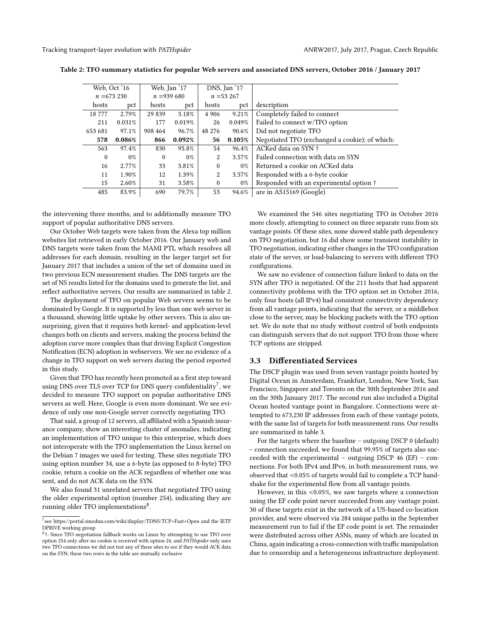<span id="page-5-0"></span>Tracking transport-layer evolution with PATHspider ANRW2017, July 2017, Prague, Czech Republic

| Web, Oct '16 |           | Web, Jan '17 |        | DNS, Jan '17   |        |                                                |  |  |  |  |
|--------------|-----------|--------------|--------|----------------|--------|------------------------------------------------|--|--|--|--|
| $n = 673230$ |           | $n = 939680$ |        | $n = 53267$    |        |                                                |  |  |  |  |
| hosts        | pct       | hosts        | pct    | hosts          | pct    | description                                    |  |  |  |  |
| 18 777       | 2.79%     | 29 839       | 3.18%  | 4 9 0 6        | 9.21%  | Completely failed to connect                   |  |  |  |  |
| 211          | 0.031%    | 177          | 0.019% | 26             | 0.049% | Failed to connect w/TFO option                 |  |  |  |  |
| 653 681      | 97.1%     | 908 464      | 96.7%  | 48 276         | 90.6%  | Did not negotiate TFO                          |  |  |  |  |
| 578          | $0.086\%$ | 866          | 0.092% | 56             | 0.105% | Negotiated TFO (exchanged a cookie); of which: |  |  |  |  |
| 563          | 97.4%     | 830          | 95.8%  | 54             | 96.4%  | ACKed data on SYN +                            |  |  |  |  |
| 0            | $0\%$     | $\theta$     | $0\%$  | $\overline{2}$ | 3.57%  | Failed connection with data on SYN             |  |  |  |  |
| 16           | 2.77%     | 33           | 3.81%  | $\mathbf{0}$   | $0\%$  | Returned a cookie on ACKed data                |  |  |  |  |
| 11           | 1.90%     | 12           | 1.39%  | 2              | 3.57%  | Responded with a 6-byte cookie                 |  |  |  |  |
| 15           | 2.60%     | 31           | 3.58%  | $\mathbf{0}$   | $0\%$  | Responded with an experimental option †        |  |  |  |  |
| 485          | 83.9%     | 690          | 79.7%  | 53             | 94.6%  | are in AS15169 (Google)                        |  |  |  |  |

Table 2: TFO summary statistics for popular Web servers and associated DNS servers, October 2016 / January 2017

the intervening three months, and to additionally measure TFO support of popular authoritative DNS servers.

Our October Web targets were taken from the Alexa top million websites list retrieved in early October 2016. Our January web and DNS targets were taken from the MAMI PTL which resolves all addresses for each domain, resulting in the larger target set for January 2017 that includes a union of the set of domains used in two previous ECN measurement studies. The DNS targets are the set of NS results listed for the domains used to generate the list, and reflect authoritative servers. Our results are summarized in table [2.](#page-5-0)

The deployment of TFO on popular Web servers seems to be dominated by Google. It is supported by less than one web server in a thousand, showing little uptake by other servers. This is also unsurprising, given that it requires both kernel- and application-level changes both on clients and servers, making the process behind the adoption curve more complex than that driving Explicit Congestion Notification (ECN) adoption in webservers. We see no evidence of a change in TFO support on web servers during the period reported in this study.

Given that TFO has recently been promoted as a first step toward using DNS over TLS over TCP for DNS query confidentiality<sup>[7](#page-5-1)</sup>, we decided to measure TFO support on popular authoritative DNS servers as well. Here, Google is even more dominant. We see evidence of only one non-Google server correctly negotiating TFO.

That said, a group of 12 servers, all affiliated with a Spanish insurance company, show an interesting cluster of anomalies, indicating an implementation of TFO unique to this enterprise, which does not interoperate with the TFO implementation the Linux kernel on the Debian 7 images we used for testing. These sites negotiate TFO using option number 34, use a 6-byte (as opposed to 8-byte) TFO cookie, return a cookie on the ACK regardless of whether one was sent, and do not ACK data on the SYN.

We also found 31 unrelated servers that negotiated TFO using the older experimental option (number 254), indicating they are running older TFO implementations<sup>[8](#page-5-2)</sup>.

We examined the 546 sites negotiating TFO in October 2016 more closely, attempting to connect on three separate runs from six vantage points. Of these sites, none showed stable path dependency on TFO negotiation, but 16 did show some transient instability in TFO negotiation, indicating either changes in the TFO configuration state of the server, or load-balancing to servers with different TFO configurations.

We saw no evidence of connection failure linked to data on the SYN after TFO is negotiated. Of the 211 hosts that had apparent connectivity problems with the TFO option set in October 2016, only four hosts (all IPv4) had consistent connectivity dependency from all vantage points, indicating that the server, or a middlebox close to the server, may be blocking packets with the TFO option set. We do note that no study without control of both endpoints can distinguish servers that do not support TFO from those where TCP options are stripped.

#### 3.3 Differentiated Services

The DSCP plugin was used from seven vantage points hosted by Digital Ocean in Amsterdam, Frankfurt, London, New York, San Francisco, Singapore and Toronto on the 30th September 2016 and on the 30th January 2017. The second run also included a Digital Ocean hosted vantage point in Bangalore. Connections were attempted to 673,230 IP addresses from each of these vantage points, with the same list of targets for both measurement runs. Our results are summarized in table [3.](#page-6-0)

For the targets where the baseline – outgoing DSCP 0 (default) – connection succeeded, we found that 99.95% of targets also succeeded with the experimental – outgoing DSCP 46 (EF) – connections. For both IPv4 and IPv6, in both measurement runs, we observed that <0.05% of targets would fail to complete a TCP handshake for the experimental flow from all vantage points.

However, in this <0.05%, we saw targets where a connection using the EF code point never succeeded from any vantage point. 30 of these targets exist in the network of a US-based co-location provider, and were observed via 284 unique paths in the September measurement run to fail if the EF code point is set. The remainder were distributed across other ASNs, many of which are located in China, again indicating a cross-connection with traffic manipulation due to censorship and a heterogeneous infrastructure deployment.

<span id="page-5-1"></span><sup>7</sup> see<https://portal.sinodun.com/wiki/display/TDNS/TCP+Fast+Open> and the IETF DPRIVE working group

<span id="page-5-2"></span><sup>8</sup>†: Since TFO negotiation fallback works on Linux by attempting to use TFO over option 254 only after no cookie is received with option 24, and PATHspider only uses two TFO connections we did not test any of these sites to see if they would ACK data on the SYN; these two rows in the table are mutually exclusive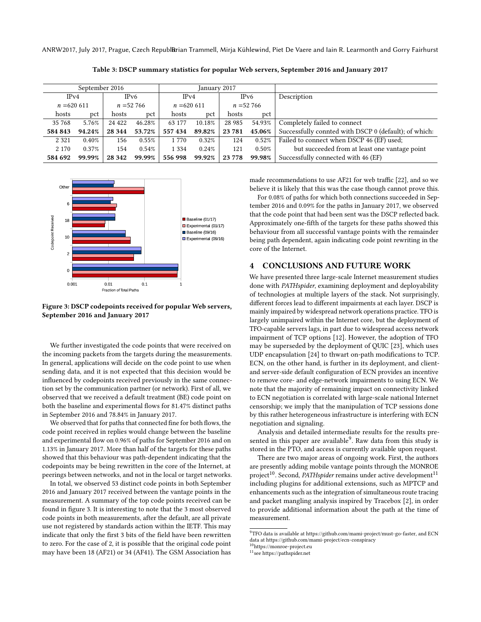<span id="page-6-0"></span>ANRW2017, July 2017, Prague, Czech RepublBrian Trammell, Mirja Kühlewind, Piet De Vaere and Iain R. Learmonth and Gorry Fairhurst

| September 2016 |        |              |        | January 2017 |        |              |          |                                                       |
|----------------|--------|--------------|--------|--------------|--------|--------------|----------|-------------------------------------------------------|
| IPv4           |        | IPv6         |        | IPv4         |        | IPv6         |          | Description                                           |
| $n = 620611$   |        | $n = 52,766$ |        | $n = 620611$ |        | $n = 52,766$ |          |                                                       |
| hosts          | pct    | hosts        | pct    | hosts        | pct    | hosts        | pct      |                                                       |
| 35 768         | 5.76%  | 24 4 22      | 46.28% | 63 177       | 10.18% | 28 9 85      | 54.93%   | Completely failed to connect                          |
| 584 843        | 94.24% | 28 3 44      | 53.72% | 557434       | 89.82% | 23 781       | 45.06%   | Successfully connted with DSCP 0 (default); of which: |
| 2 3 2 1        | 0.40%  | 156          | 0.55%  | 1770         | 0.32%  | 124          | 0.52%    | Failed to connect when DSCP 46 (EF) used;             |
| 2 1 7 0        | 0.37%  | 154          | 0.54%  | 1 3 3 4      | 0.24%  | 121          | $0.50\%$ | but succeeded from at least one vantage point         |
| 584 692        | 99.99% | 28 342       | 99.99% | 556 998      | 99.92% | 23 778       | 99.98%   | Successfully connected with 46 (EF)                   |

Table 3: DSCP summary statistics for popular Web servers, September 2016 and January 2017

<span id="page-6-1"></span>

Figure 3: DSCP codepoints received for popular Web servers, September 2016 and January 2017

We further investigated the code points that were received on the incoming packets from the targets during the measurements. In general, applications will decide on the code point to use when sending data, and it is not expected that this decision would be influenced by codepoints received previously in the same connection set by the communication partner (or network). First of all, we observed that we received a default treatment (BE) code point on both the baseline and experimental flows for 81.47% distinct paths in September 2016 and 78.84% in January 2017.

We observed that for paths that connected fine for both flows, the code point received in replies would change between the baseline and experimental flow on 0.96% of paths for September 2016 and on 1.13% in January 2017. More than half of the targets for these paths showed that this behaviour was path-dependent indicating that the codepoints may be being rewritten in the core of the Internet, at peerings between networks, and not in the local or target networks.

In total, we observed 53 distinct code points in both September 2016 and January 2017 received between the vantage points in the measurement. A summary of the top code points received can be found in figure [3.](#page-6-1) It is interesting to note that the 3 most observed code points in both measurements, after the default, are all private use not registered by standards action within the IETF. This may indicate that only the first 3 bits of the field have been rewritten to zero. For the case of 2, it is possible that the original code point may have been 18 (AF21) or 34 (AF41). The GSM Association has

made recommendations to use AF21 for web traffic [\[22\]](#page-7-22), and so we believe it is likely that this was the case though cannot prove this.

For 0.08% of paths for which both connections succeeded in September 2016 and 0.09% for the paths in January 2017, we observed that the code point that had been sent was the DSCP reflected back. Approximately one-fifth of the targets for these paths showed this behaviour from all successful vantage points with the remainder being path dependent, again indicating code point rewriting in the core of the Internet.

#### 4 CONCLUSIONS AND FUTURE WORK

We have presented three large-scale Internet measurement studies done with PATHspider, examining deployment and deployability of technologies at multiple layers of the stack. Not surprisingly, different forces lead to different impairments at each layer. DSCP is mainly impaired by widespread network operations practice. TFO is largely unimpaired within the Internet core, but the deployment of TFO-capable servers lags, in part due to widespread access network impairment of TCP options [\[12\]](#page-7-10). However, the adoption of TFO may be superseded by the deployment of QUIC [\[23\]](#page-7-23), which uses UDP encapsulation [\[24\]](#page-7-24) to thwart on-path modifications to TCP. ECN, on the other hand, is further in its deployment, and clientand server-side default configuration of ECN provides an incentive to remove core- and edge-network impairments to using ECN. We note that the majority of remaining impact on connectivity linked to ECN negotiation is correlated with large-scale national Internet censorship; we imply that the manipulation of TCP sessions done by this rather heterogeneous infrastructure is interfering with ECN negotiation and signaling.

Analysis and detailed intermediate results for the results pre-sented in this paper are available<sup>[9](#page-6-2)</sup>. Raw data from this study is stored in the PTO, and access is currently available upon request.

There are two major areas of ongoing work. First, the authors are presently adding mobile vantage points through the MONROE project<sup>[10](#page-6-3)</sup>. Second, PATHspider remains under active development<sup>[11](#page-6-4)</sup> including plugins for additional extensions, such as MPTCP and enhancements such as the integration of simultaneous route tracing and packet mangling analysis inspired by Tracebox [\[2\]](#page-7-2), in order to provide additional information about the path at the time of measurement.

<span id="page-6-2"></span><sup>9</sup>TFO data is available at [https://github.com/mami-project/must-go-faster,](https://github.com /mami-project/must-go-faster) and ECN data at<https://github.com/mami-project/ecn-conspiracy>

<span id="page-6-3"></span><sup>10</sup>[https://monroe-project.eu](https://monroe- project.eu)

<span id="page-6-4"></span><sup>11</sup>see<https://pathspider.net>